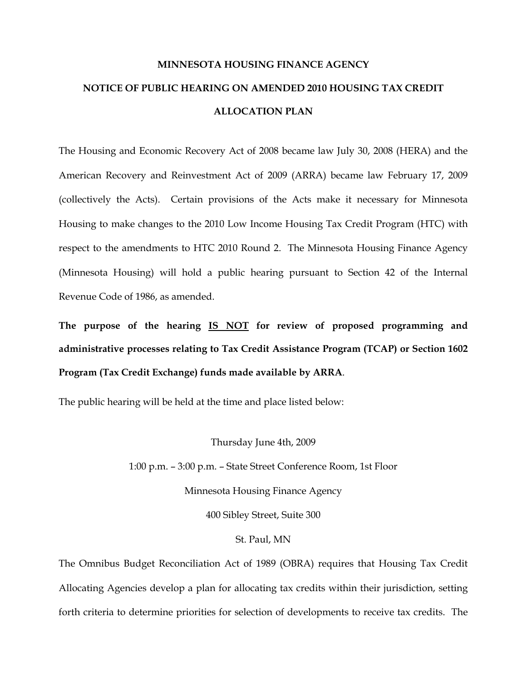## **MINNESOTA HOUSING FINANCE AGENCY NOTICE OF PUBLIC HEARING ON AMENDED 2010 HOUSING TAX CREDIT ALLOCATION PLAN**

The Housing and Economic Recovery Act of 2008 became law July 30, 2008 (HERA) and the American Recovery and Reinvestment Act of 2009 (ARRA) became law February 17, 2009 (collectively the Acts). Certain provisions of the Acts make it necessary for Minnesota Housing to make changes to the 2010 Low Income Housing Tax Credit Program (HTC) with respect to the amendments to HTC 2010 Round 2. The Minnesota Housing Finance Agency (Minnesota Housing) will hold a public hearing pursuant to Section 42 of the Internal Revenue Code of 1986, as amended.

**The purpose of the hearing IS NOT for review of proposed programming and administrative processes relating to Tax Credit Assistance Program (TCAP) or Section 1602 Program (Tax Credit Exchange) funds made available by ARRA**.

The public hearing will be held at the time and place listed below:

Thursday June 4th, 2009

1:00 p.m. – 3:00 p.m. – State Street Conference Room, 1st Floor

Minnesota Housing Finance Agency

400 Sibley Street, Suite 300

## St. Paul, MN

The Omnibus Budget Reconciliation Act of 1989 (OBRA) requires that Housing Tax Credit Allocating Agencies develop a plan for allocating tax credits within their jurisdiction, setting forth criteria to determine priorities for selection of developments to receive tax credits. The